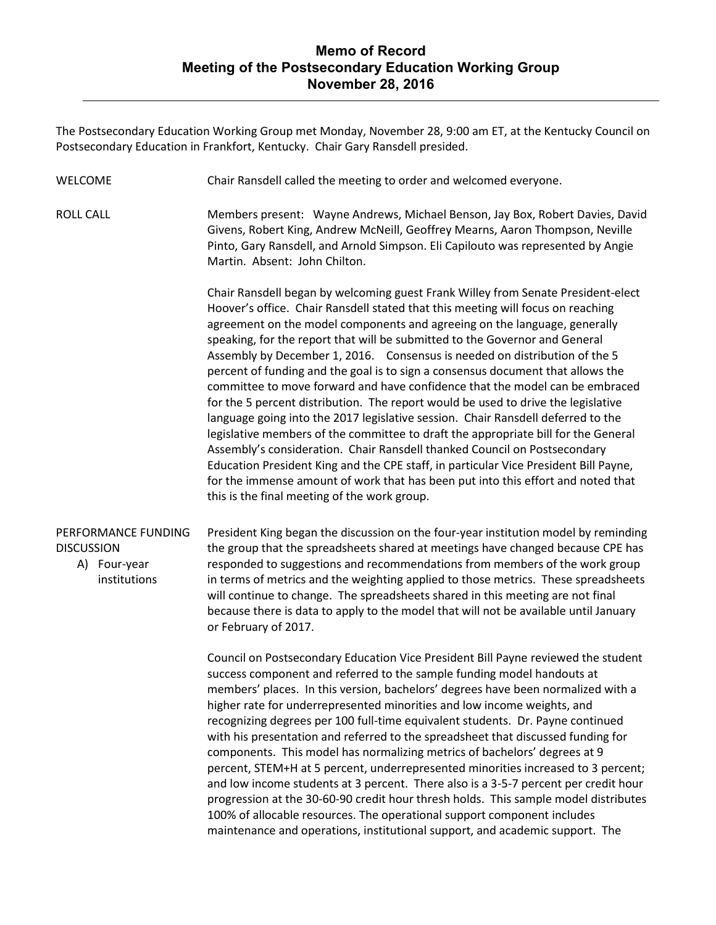## **Memo of Record Meeting of the Postsecondary Education Working Group November 28, 2016**

The Postsecondary Education Working Group met Monday, November 28, 9:00 am ET, at the Kentucky Council on Postsecondary Education in Frankfort, Kentucky. Chair Gary Ransdell presided.

- WELCOME Chair Ransdell called the meeting to order and welcomed everyone.
- ROLL CALL Members present: Wayne Andrews, Michael Benson, Jay Box, Robert Davies, David Givens, Robert King, Andrew McNeill, Geoffrey Mearns, Aaron Thompson, Neville Pinto, Gary Ransdell, and Arnold Simpson. Eli Capilouto was represented by Angie Martin. Absent: John Chilton.

Chair Ransdell began by welcoming guest Frank Willey from Senate President-elect Hoover's office. Chair Ransdell stated that this meeting will focus on reaching agreement on the model components and agreeing on the language, generally speaking, for the report that will be submitted to the Governor and General Assembly by December 1, 2016. Consensus is needed on distribution of the 5 percent of funding and the goal is to sign a consensus document that allows the committee to move forward and have confidence that the model can be embraced for the 5 percent distribution. The report would be used to drive the legislative language going into the 2017 legislative session. Chair Ransdell deferred to the legislative members of the committee to draft the appropriate bill for the General Assembly's consideration. Chair Ransdell thanked Council on Postsecondary Education President King and the CPE staff, in particular Vice President Bill Payne, for the immense amount of work that has been put into this effort and noted that this is the final meeting of the work group.

## PERFORMANCE FUNDING **DISCUSSION**

A) Four-year institutions President King began the discussion on the four-year institution model by reminding the group that the spreadsheets shared at meetings have changed because CPE has responded to suggestions and recommendations from members of the work group in terms of metrics and the weighting applied to those metrics. These spreadsheets will continue to change. The spreadsheets shared in this meeting are not final because there is data to apply to the model that will not be available until January or February of 2017.

Council on Postsecondary Education Vice President Bill Payne reviewed the student success component and referred to the sample funding model handouts at members' places. In this version, bachelors' degrees have been normalized with a higher rate for underrepresented minorities and low income weights, and recognizing degrees per 100 full-time equivalent students. Dr. Payne continued with his presentation and referred to the spreadsheet that discussed funding for components. This model has normalizing metrics of bachelors' degrees at 9 percent, STEM+H at 5 percent, underrepresented minorities increased to 3 percent; and low income students at 3 percent. There also is a 3-5-7 percent per credit hour progression at the 30-60-90 credit hour thresh holds. This sample model distributes 100% of allocable resources. The operational support component includes maintenance and operations, institutional support, and academic support. The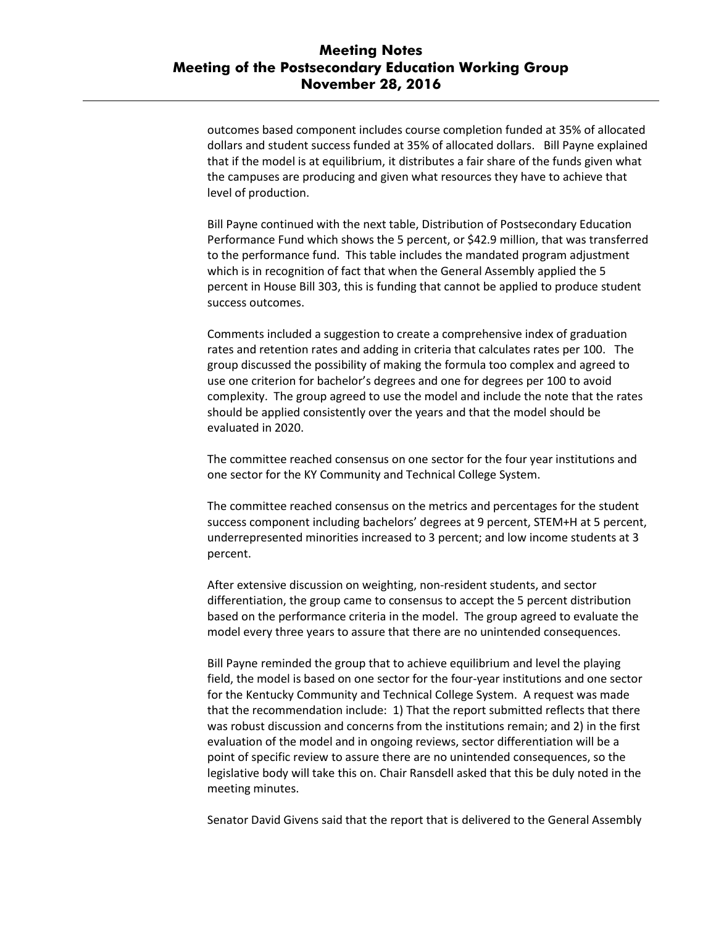## **Meeting Notes Meeting of the Postsecondary Education Working Group November 28, 2016**

outcomes based component includes course completion funded at 35% of allocated dollars and student success funded at 35% of allocated dollars. Bill Payne explained that if the model is at equilibrium, it distributes a fair share of the funds given what the campuses are producing and given what resources they have to achieve that level of production.

Bill Payne continued with the next table, Distribution of Postsecondary Education Performance Fund which shows the 5 percent, or \$42.9 million, that was transferred to the performance fund. This table includes the mandated program adjustment which is in recognition of fact that when the General Assembly applied the 5 percent in House Bill 303, this is funding that cannot be applied to produce student success outcomes.

Comments included a suggestion to create a comprehensive index of graduation rates and retention rates and adding in criteria that calculates rates per 100. The group discussed the possibility of making the formula too complex and agreed to use one criterion for bachelor's degrees and one for degrees per 100 to avoid complexity. The group agreed to use the model and include the note that the rates should be applied consistently over the years and that the model should be evaluated in 2020.

The committee reached consensus on one sector for the four year institutions and one sector for the KY Community and Technical College System.

The committee reached consensus on the metrics and percentages for the student success component including bachelors' degrees at 9 percent, STEM+H at 5 percent, underrepresented minorities increased to 3 percent; and low income students at 3 percent.

After extensive discussion on weighting, non-resident students, and sector differentiation, the group came to consensus to accept the 5 percent distribution based on the performance criteria in the model. The group agreed to evaluate the model every three years to assure that there are no unintended consequences.

Bill Payne reminded the group that to achieve equilibrium and level the playing field, the model is based on one sector for the four-year institutions and one sector for the Kentucky Community and Technical College System. A request was made that the recommendation include: 1) That the report submitted reflects that there was robust discussion and concerns from the institutions remain; and 2) in the first evaluation of the model and in ongoing reviews, sector differentiation will be a point of specific review to assure there are no unintended consequences, so the legislative body will take this on. Chair Ransdell asked that this be duly noted in the meeting minutes.

Senator David Givens said that the report that is delivered to the General Assembly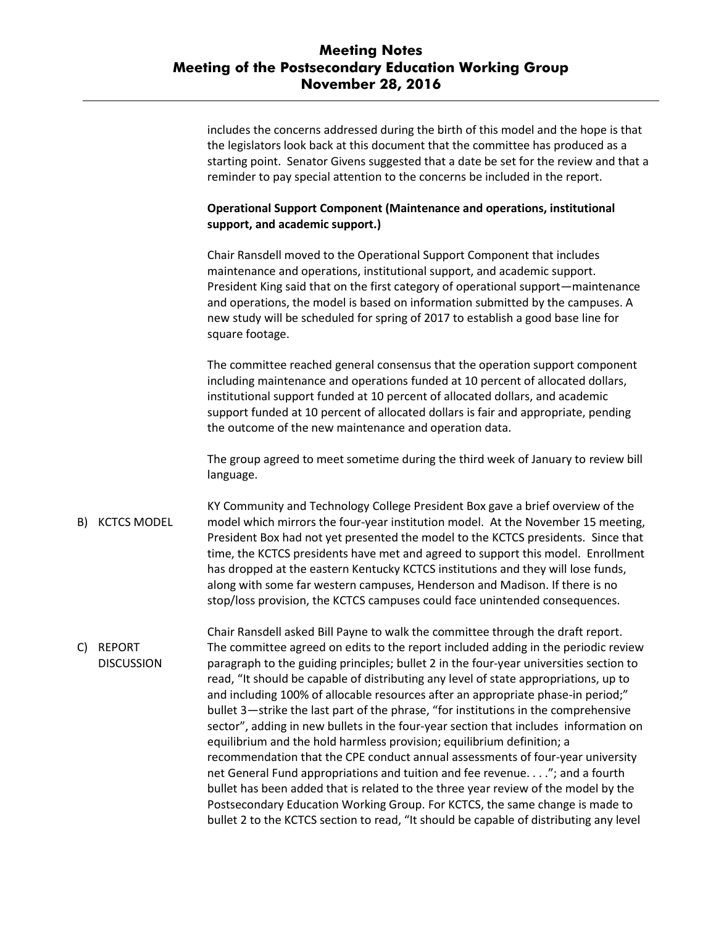|                    | includes the concerns addressed during the birth of this model and the hope is that<br>the legislators look back at this document that the committee has produced as a<br>starting point. Senator Givens suggested that a date be set for the review and that a<br>reminder to pay special attention to the concerns be included in the report.                                                                                   |
|--------------------|-----------------------------------------------------------------------------------------------------------------------------------------------------------------------------------------------------------------------------------------------------------------------------------------------------------------------------------------------------------------------------------------------------------------------------------|
|                    | <b>Operational Support Component (Maintenance and operations, institutional</b><br>support, and academic support.)                                                                                                                                                                                                                                                                                                                |
|                    | Chair Ransdell moved to the Operational Support Component that includes<br>maintenance and operations, institutional support, and academic support.<br>President King said that on the first category of operational support—maintenance<br>and operations, the model is based on information submitted by the campuses. A<br>new study will be scheduled for spring of 2017 to establish a good base line for<br>square footage. |
|                    | The committee reached general consensus that the operation support component<br>including maintenance and operations funded at 10 percent of allocated dollars,<br>institutional support funded at 10 percent of allocated dollars, and academic<br>support funded at 10 percent of allocated dollars is fair and appropriate, pending<br>the outcome of the new maintenance and operation data.                                  |
|                    | The group agreed to meet sometime during the third week of January to review bill<br>language.                                                                                                                                                                                                                                                                                                                                    |
| <b>KCTCS MODEL</b> | KY Community and Technology College President Box gave a brief overview of the<br>model which mirrors the four-year institution model. At the November 15 meeting,<br>President Box had not yet presented the model to the KCTCS presidents. Since that<br>time, the KCTCS presidents have met and agreed to support this model. Enrollment<br>has dropped at the eastern Kentucky KCTCS institutions and they will lose funds,   |

C) REPORT **DISCUSSION** Chair Ransdell asked Bill Payne to walk the committee through the draft report. The committee agreed on edits to the report included adding in the periodic review paragraph to the guiding principles; bullet 2 in the four-year universities section to read, "It should be capable of distributing any level of state appropriations, up to and including 100% of allocable resources after an appropriate phase-in period;" bullet 3—strike the last part of the phrase, "for institutions in the comprehensive sector", adding in new bullets in the four-year section that includes information on equilibrium and the hold harmless provision; equilibrium definition; a recommendation that the CPE conduct annual assessments of four-year university net General Fund appropriations and tuition and fee revenue. . . ."; and a fourth bullet has been added that is related to the three year review of the model by the Postsecondary Education Working Group. For KCTCS, the same change is made to bullet 2 to the KCTCS section to read, "It should be capable of distributing any level

along with some far western campuses, Henderson and Madison. If there is no stop/loss provision, the KCTCS campuses could face unintended consequences.

B)